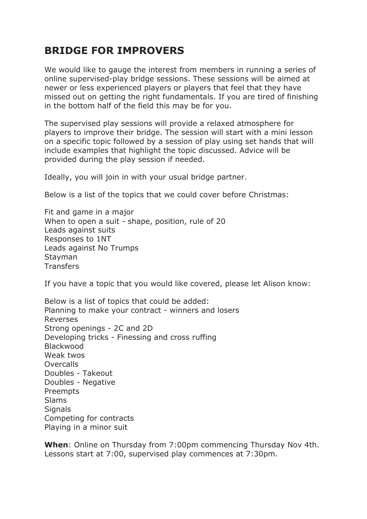## **BRIDGE FOR IMPROVERS**

We would like to gauge the interest from members in running a series of online supervised-play bridge sessions. These sessions will be aimed at newer or less experienced players or players that feel that they have missed out on getting the right fundamentals. If you are tired of finishing in the bottom half of the field this may be for you.

The supervised play sessions will provide a relaxed atmosphere for players to improve their bridge. The session will start with a mini lesson on a specific topic followed by a session of play using set hands that will include examples that highlight the topic discussed. Advice will be provided during the play session if needed.

Ideally, you will join in with your usual bridge partner.

Below is a list of the topics that we could cover before Christmas:

Fit and game in a major When to open a suit - shape, position, rule of 20 Leads against suits Responses to 1NT Leads against No Trumps Stayman **Transfers** 

If you have a topic that you would like covered, please let Alison know:

Below is a list of topics that could be added: Planning to make your contract - winners and losers Reverses Strong openings - 2C and 2D Developing tricks - Finessing and cross ruffing Blackwood Weak twos **Overcalls** Doubles - Takeout Doubles - Negative Preempts Slams **Signals** Competing for contracts Playing in a minor suit

**When**: Online on Thursday from 7:00pm commencing Thursday Nov 4th. Lessons start at 7:00, supervised play commences at 7:30pm.